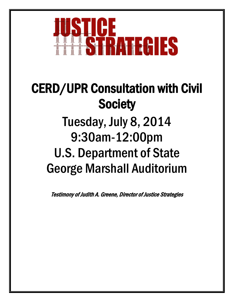

## CERD/UPR Consultation with Civil **Society** Tuesday, July 8, 2014 9:30am-12:00pm U.S. Department of State George Marshall Auditorium

Testimony of Judith A. Greene, Director of Justice Strategies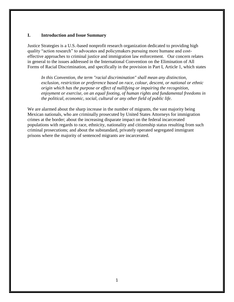## **I. Introduction and Issue Summary**

Justice Strategies is a U.S.-based nonprofit research organization dedicated to providing high quality "action research" to advocates and policymakers pursuing more humane and costeffective approaches to criminal justice and immigration law enforcement. Our concern relates in general to the issues addressed in the International Convention on the Elimination of All Forms of Racial Discrimination, and specifically in the provision in Part I, Article 1, which states

In this Convention, the term "racial discrimination" shall mean any distinction, *exclusion, restriction or preference based on race, colour, descent, or national or ethnic origin which has the purpose or effect of nullifying or impairing the recognition, enjoyment or exercise, on an equal footing, of human rights and fundamental freedoms in the political, economic, social, cultural or any other field of public life.*

We are alarmed about the sharp increase in the number of migrants, the vast majority being Mexican nationals, who are criminally prosecuted by United States Attorneys for immigration crimes at the border; about the increasing disparate impact on the federal incarcerated populations with regards to race, ethnicity, nationality and citizenship status resulting from such criminal prosecutions; and about the substandard, privately operated segregated immigrant prisons where the majority of sentenced migrants are incarcerated.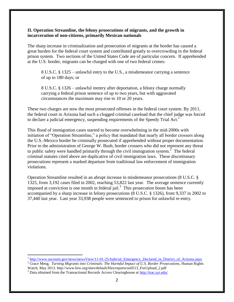## **II. Operation Streamline, the felony prosecutions of migrants, and the growth in incarceration of non-citizens, primarily Mexican nationals**

The sharp increase in criminalization and prosecution of migrants at the border has caused a great burden for the federal court system and contributed greatly to overcrowding in the federal prison system. Two sections of the United States Code are of particular concern. If apprehended at the U.S. border, migrants can be charged with one of two federal crimes:

8 U.S.C. § 1325 – unlawful entry to the U.S., a misdemeanor carrying a sentence of up to 180 days; or

8 U.S.C. § 1326 – unlawful reentry after deportation, a felony charge normally carrying a federal prison sentence of up to two years, but with aggravated circumstances the maximum may rise to 10 or 20 years.

These two charges are now the most prosecuted offenses in the federal court system. By 2011, the federal court in Arizona had such a clogged criminal caseload that the chief judge was forced to declare a judicial emergency, suspending requirements of the Speedy Trial Act.<sup>1</sup>

This flood of immigration cases started to become overwhelming in the mid-2000s with initiation of "Operation Streamline," a policy that mandated that nearly all border crossers along the U.S.-Mexico border be criminally prosecuted if apprehended without proper documentation. Prior to the administration of George W. Bush, border crossers who did not represent any threat to public safety were handled primarily through the civil immigration system.<sup>2</sup> The federal criminal statutes cited above are duplicative of civil immigration laws. These discretionary prosecutions represent a marked departure from traditional law enforcement of immigration violations.

Operation Streamline resulted in an abrupt increase in misdemeanor prosecutions (8 U.S.C. § 1325, from 3,192 cases filed in 2002, reaching 53,822 last year. The average sentence currently imposed at conviction is one month in federal jail.<sup>3</sup> This prosecution boom has been accompanied by a sharp increase in felony prosecutions (8 U.S.C. § 1326), from 9,337 in 2002 to 37,440 last year. Last year 33,938 people were sentenced to prison for unlawful re-entry.

 $\overline{a}$ 

<sup>&</sup>lt;sup>1</sup> http://www.uscourts.gov/news/newsView/11-01-25/Judicial Emergency Declared in District of Arizona.aspx

<sup>&</sup>lt;sup>2</sup> Grace Meng. *Turning Migrants into Criminals: The Harmful Impact of U.S. Border Prosecutions*, Human Rights Watch, May 2013. http://www.hrw.org/sites/default/files/reports/us0513\_ForUpload\_2.pdf

<sup>3</sup> Data obtained from the Transactional Records Access Clearinghouse at<http://trac.syr.edu/>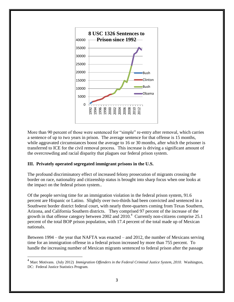

More than 90 percent of those were sentenced for "simple" re-entry after removal, which carries a sentence of up to two years in prison. The average sentence for that offense is 15 months, while aggravated circumstances boost the average to 16 or 30 months, after which the prisoner is transferred to ICE for the civil removal process. This increase is driving a significant amount of the overcrowding and racial disparity that plagues our federal prison system.

## **III. Privately operated segregated immigrant prisons in the U.S.**

 $\overline{a}$ 

The profound discriminatory effect of increased felony prosecution of migrants crossing the border on race, nationality and citizenship status is brought into sharp focus when one looks at the impact on the federal prison system..

Of the people serving time for an immigration violation in the federal prison system, 91.6 percent are Hispanic or Latino. Slightly over two-thirds had been convicted and sentenced in a Southwest border district federal court, with nearly three-quarters coming from Texas Southern, Arizona, and California Southern districts. They comprised 97 percent of the increase of the growth in that offense category between 2002 and  $2010<sup>4</sup>$  Currently non-citizens comprise 25.1 percent of the total BOP prison population, with 17.4 percent of the total made up of Mexican nationals.

Between 1994 – the year that NAFTA was enacted – and 2012, the number of Mexicans serving time for an immigration offense in a federal prison increased by more than 755 percent. To handle the increasing number of Mexican migrants sentenced to federal prison after the passage

<sup>4</sup> Marc Motivans. (July 2012) *Immigration Offenders in the Federal Criminal Justice System, 2010.* Washington, DC: Federal Justice Statistics Program.